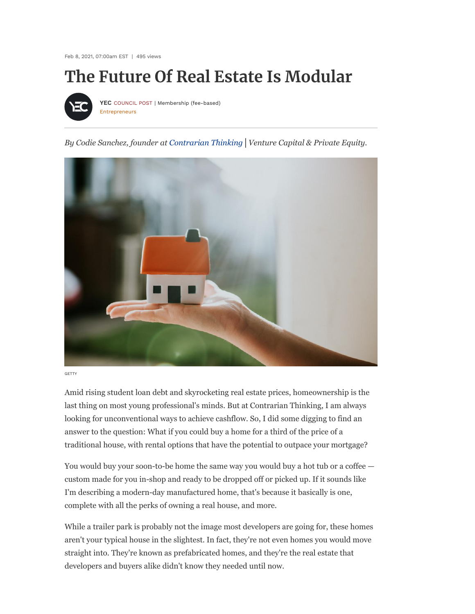Feb 8, 2021, 07:00am EST | 495 views

# **The Future Of Real Estate Is Modular**



[Entrepreneurs](https://www.forbes.com/entrepreneurs) **[YEC](https://www.forbes.com/sites/theyec/)** COUNCIL POST | Membership (fee-based)

*By Codie Sanchez, founder at [Contrarian Thinking](https://contrarianthinking.substack.com/)│Venture Capital & Private Equity.*



**GETTY** 

Amid rising student loan debt and skyrocketing real estate prices, homeownership is the last thing on most young professional's minds. But at Contrarian Thinking, I am always looking for unconventional ways to achieve cashflow. So, I did some digging to find an answer to the question: What if you could buy a home for a third of the price of a traditional house, with rental options that have the potential to outpace your mortgage?

You would buy your soon-to-be home the same way you would buy a hot tub or a coffee custom made for you in-shop and ready to be dropped off or picked up. If it sounds like I'm describing a modern-day manufactured home, that's because it basically is one, complete with all the perks of owning a real house, and more.

While a trailer park is probably not the image most developers are going for, these homes aren't your typical house in the slightest. In fact, they're not even homes you would move straight into. They're known as prefabricated homes, and they're the real estate that developers and buyers alike didn't know they needed until now.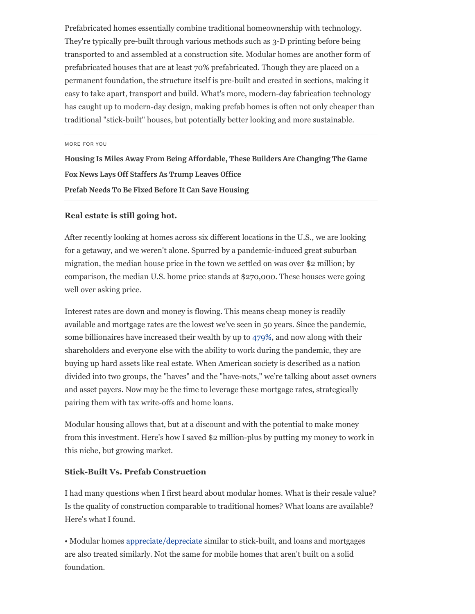Prefabricated homes essentially combine traditional homeownership with technology. They're typically pre-built through various methods such as 3-D printing before being transported to and assembled at a construction site. Modular homes are another form of prefabricated houses that are at least 70% prefabricated. Though they are placed on a permanent foundation, the structure itself is pre-built and created in sections, making it easy to take apart, transport and build. What's more, modern-day fabrication technology has caught up to modern-day design, making prefab homes is often not only cheaper than traditional "stick-built" houses, but potentially better looking and more sustainable.

MORE FOR YOU

**[Housing Is Miles Away From Being Affordable, These Builders Are Changing The Game](https://www.forbes.com/sites/jennifercastenson/2021/02/01/housing-is-miles-away-from-being-affordable-these-builders-are-changing-the-game/) [Fox News Lays Off Staffers As Trump Leaves Office](https://www.forbes.com/sites/nicholasreimann/2021/01/19/fox-news-lays-off-staffers-as-trump-leaves-office/) [Prefab Needs To Be Fixed Before It Can Save Housing](https://www.forbes.com/sites/jennifercastenson/2020/05/12/prefab-needs-to-be-fixed-before-it-can-save-housing/)**

#### **Real estate is still going hot.**

After recently looking at homes across six different locations in the U.S., we are looking for a getaway, and we weren't alone. Spurred by a pandemic-induced great suburban migration, the median house price in the town we settled on was over \$2 million; by comparison, the median U.S. home price stands at \$270,000. These houses were going well over asking price.

Interest rates are down and money is flowing. This means cheap money is readily available and mortgage rates are the lowest we've seen in 50 years. Since the pandemic, some billionaires have increased their wealth by up to [479%](https://www.usatoday.com/story/money/2020/12/01/american-billionaires-that-got-richer-during-covid/43205617/), and now along with their shareholders and everyone else with the ability to work during the pandemic, they are buying up hard assets like real estate. When American society is described as a nation divided into two groups, the "haves" and the "have-nots," we're talking about asset owners and asset payers. Now may be the time to leverage these mortgage rates, strategically pairing them with tax write-offs and home loans.

Modular housing allows that, but at a discount and with the potential to make money from this investment. Here's how I saved \$2 million-plus by putting my money to work in this niche, but growing market.

#### **Stick-Built Vs. Prefab Construction**

I had many questions when I first heard about modular homes. What is their resale value? Is the quality of construction comparable to traditional homes? What loans are available? Here's what I found.

• Modular homes [appreciate/depreciate](https://www.schumacherhomes.com/custom-building/posts/stick-built-vs-modular-homes/) similar to stick-built, and loans and mortgages are also treated similarly. Not the same for mobile homes that aren't built on a solid foundation.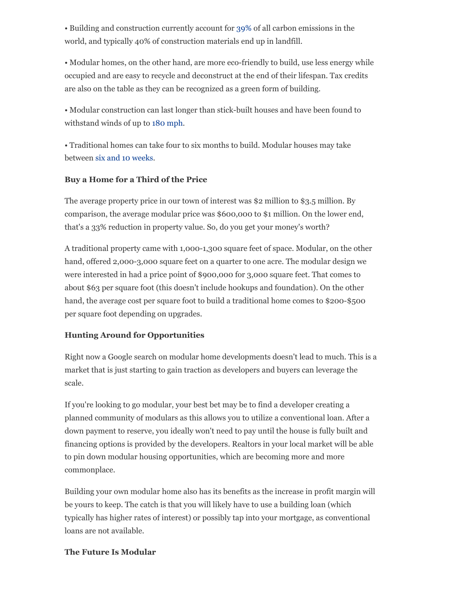• Building and construction currently account for [39%](https://www.worldgbc.org/news-media/WorldGBC-embodied-carbon-report-published) of all carbon emissions in the world, and typically 40% of construction materials end up in landfill.

• Modular homes, on the other hand, are more eco-friendly to build, use less energy while occupied and are easy to recycle and deconstruct at the end of their lifespan. Tax credits are also on the table as they can be recognized as a green form of building.

• Modular construction can last longer than stick-built houses and have been found to withstand winds of up to [180 mph.](https://affinitybuildingsystems.com/what-is-a-modular-home/)

• Traditional homes can take four to six months to build. Modular houses may take between [six and 10 weeks](https://www.moneycrashers.com/building-prefab-home-types-cost/).

## **Buy a Home for a Third of the Price**

The average property price in our town of interest was \$2 million to \$3.5 million. By comparison, the average modular price was \$600,000 to \$1 million. On the lower end, that's a 33% reduction in property value. So, do you get your money's worth?

A traditional property came with 1,000-1,300 square feet of space. Modular, on the other hand, offered 2,000-3,000 square feet on a quarter to one acre. The modular design we were interested in had a price point of \$900,000 for 3,000 square feet. That comes to about \$63 per square foot (this doesn't include hookups and foundation). On the other hand, the average cost per square foot to build a traditional home comes to \$200-\$500 per square foot depending on upgrades.

## **Hunting Around for Opportunities**

Right now a Google search on modular home developments doesn't lead to much. This is a market that is just starting to gain traction as developers and buyers can leverage the scale.

If you're looking to go modular, your best bet may be to find a developer creating a planned community of modulars as this allows you to utilize a conventional loan. After a down payment to reserve, you ideally won't need to pay until the house is fully built and financing options is provided by the developers. Realtors in your local market will be able to pin down modular housing opportunities, which are becoming more and more commonplace.

Building your own modular home also has its benefits as the increase in profit margin will be yours to keep. The catch is that you will likely have to use a building loan (which typically has higher rates of interest) or possibly tap into your mortgage, as conventional loans are not available.

### **The Future Is Modular**